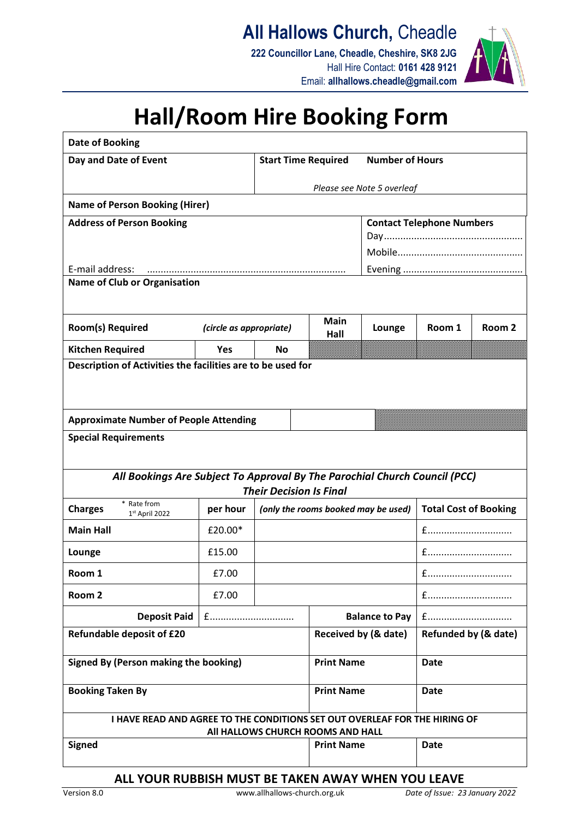**All Hallows Church,** Cheadle

**222 Councillor Lane, Cheadle, Cheshire, SK8 2JG** Hall Hire Contact: **0161 428 9121** Email: **allhallows.cheadle@gmail.com**



## **Hall/Room Hire Booking Form**

| Date of Booking                                                                                                 |                         |                                     |                                                      |                       |                              |                   |
|-----------------------------------------------------------------------------------------------------------------|-------------------------|-------------------------------------|------------------------------------------------------|-----------------------|------------------------------|-------------------|
| Day and Date of Event                                                                                           |                         |                                     | <b>Number of Hours</b><br><b>Start Time Required</b> |                       |                              |                   |
|                                                                                                                 |                         |                                     | Please see Note 5 overleaf                           |                       |                              |                   |
| <b>Name of Person Booking (Hirer)</b>                                                                           |                         |                                     |                                                      |                       |                              |                   |
| <b>Address of Person Booking</b>                                                                                |                         | <b>Contact Telephone Numbers</b>    |                                                      |                       |                              |                   |
|                                                                                                                 |                         |                                     |                                                      |                       |                              |                   |
|                                                                                                                 |                         |                                     |                                                      |                       |                              |                   |
| E-mail address:<br><b>Name of Club or Organisation</b>                                                          |                         |                                     |                                                      |                       |                              |                   |
|                                                                                                                 |                         |                                     |                                                      |                       |                              |                   |
| <b>Main</b>                                                                                                     |                         |                                     |                                                      |                       |                              |                   |
| <b>Room(s) Required</b>                                                                                         | (circle as appropriate) |                                     | Hall                                                 | Lounge                | Room 1                       | Room <sub>2</sub> |
| <b>Kitchen Required</b>                                                                                         | Yes                     | <b>No</b>                           |                                                      |                       |                              |                   |
| Description of Activities the facilities are to be used for                                                     |                         |                                     |                                                      |                       |                              |                   |
|                                                                                                                 |                         |                                     |                                                      |                       |                              |                   |
|                                                                                                                 |                         |                                     |                                                      |                       |                              |                   |
| <b>Approximate Number of People Attending</b>                                                                   |                         |                                     |                                                      |                       |                              |                   |
| <b>Special Requirements</b>                                                                                     |                         |                                     |                                                      |                       |                              |                   |
|                                                                                                                 |                         |                                     |                                                      |                       |                              |                   |
| All Bookings Are Subject To Approval By The Parochial Church Council (PCC)                                      |                         |                                     |                                                      |                       |                              |                   |
| <b>Their Decision Is Final</b><br>* Rate from                                                                   |                         |                                     |                                                      |                       |                              |                   |
| <b>Charges</b><br>$1st$ April 2022                                                                              | per hour                | (only the rooms booked may be used) |                                                      |                       | <b>Total Cost of Booking</b> |                   |
| <b>Main Hall</b>                                                                                                | £20.00*                 |                                     |                                                      |                       | $f$                          |                   |
| Lounge                                                                                                          | £15.00                  |                                     |                                                      |                       | $f$                          |                   |
| Room 1                                                                                                          | £7.00                   |                                     |                                                      |                       |                              |                   |
| Room <sub>2</sub>                                                                                               | £7.00                   |                                     |                                                      |                       |                              |                   |
| <b>Deposit Paid</b>                                                                                             | $f$                     |                                     |                                                      | <b>Balance to Pay</b> |                              |                   |
| Refundable deposit of £20                                                                                       |                         |                                     | Received by (& date)                                 |                       | Refunded by (& date)         |                   |
|                                                                                                                 |                         |                                     |                                                      |                       |                              |                   |
| Signed By (Person making the booking)                                                                           |                         |                                     | <b>Print Name</b>                                    |                       | <b>Date</b>                  |                   |
| <b>Booking Taken By</b>                                                                                         |                         |                                     | <b>Print Name</b>                                    |                       | <b>Date</b>                  |                   |
|                                                                                                                 |                         |                                     |                                                      |                       |                              |                   |
| I HAVE READ AND AGREE TO THE CONDITIONS SET OUT OVERLEAF FOR THE HIRING OF<br>All HALLOWS CHURCH ROOMS AND HALL |                         |                                     |                                                      |                       |                              |                   |
| <b>Signed</b>                                                                                                   | <b>Print Name</b>       |                                     | <b>Date</b>                                          |                       |                              |                   |
|                                                                                                                 |                         |                                     |                                                      |                       |                              |                   |
|                                                                                                                 |                         |                                     |                                                      |                       |                              |                   |

## **ALL YOUR RUBBISH MUST BE TAKEN AWAY WHEN YOU LEAVE**